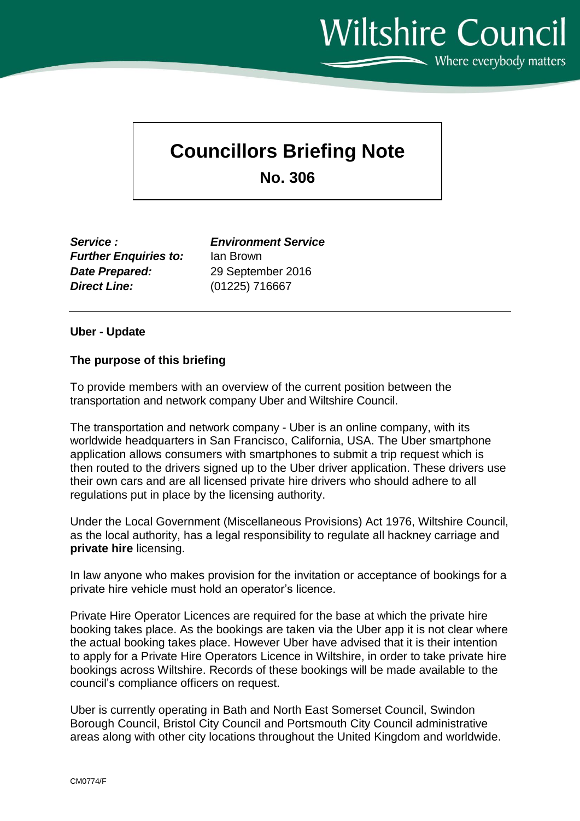**Wiltshire Council**  $\sum$  Where everybody matters

## **Councillors Briefing Note**

**No. 306**

*Service : Environment Service Further Enquiries to:* Ian Brown *Date Prepared:* 29 September 2016 *Direct Line:* (01225) 716667

## **Uber - Update**

## **The purpose of this briefing**

To provide members with an overview of the current position between the transportation and network company Uber and Wiltshire Council.

The transportation and network company - Uber is an online company, with its worldwide headquarters in San Francisco, California, USA. The Uber smartphone application allows consumers with smartphones to submit a trip request which is then routed to the drivers signed up to the Uber driver application. These drivers use their own cars and are all licensed private hire drivers who should adhere to all regulations put in place by the licensing authority.

Under the Local Government (Miscellaneous Provisions) Act 1976, Wiltshire Council, as the local authority, has a legal responsibility to regulate all hackney carriage and **private hire** licensing.

In law anyone who makes provision for the invitation or acceptance of bookings for a private hire vehicle must hold an operator's licence.

Private Hire Operator Licences are required for the base at which the private hire booking takes place. As the bookings are taken via the Uber app it is not clear where the actual booking takes place. However Uber have advised that it is their intention to apply for a Private Hire Operators Licence in Wiltshire, in order to take private hire bookings across Wiltshire. Records of these bookings will be made available to the council's compliance officers on request.

Uber is currently operating in Bath and North East Somerset Council, Swindon Borough Council, Bristol City Council and Portsmouth City Council administrative areas along with other city locations throughout the United Kingdom and worldwide.